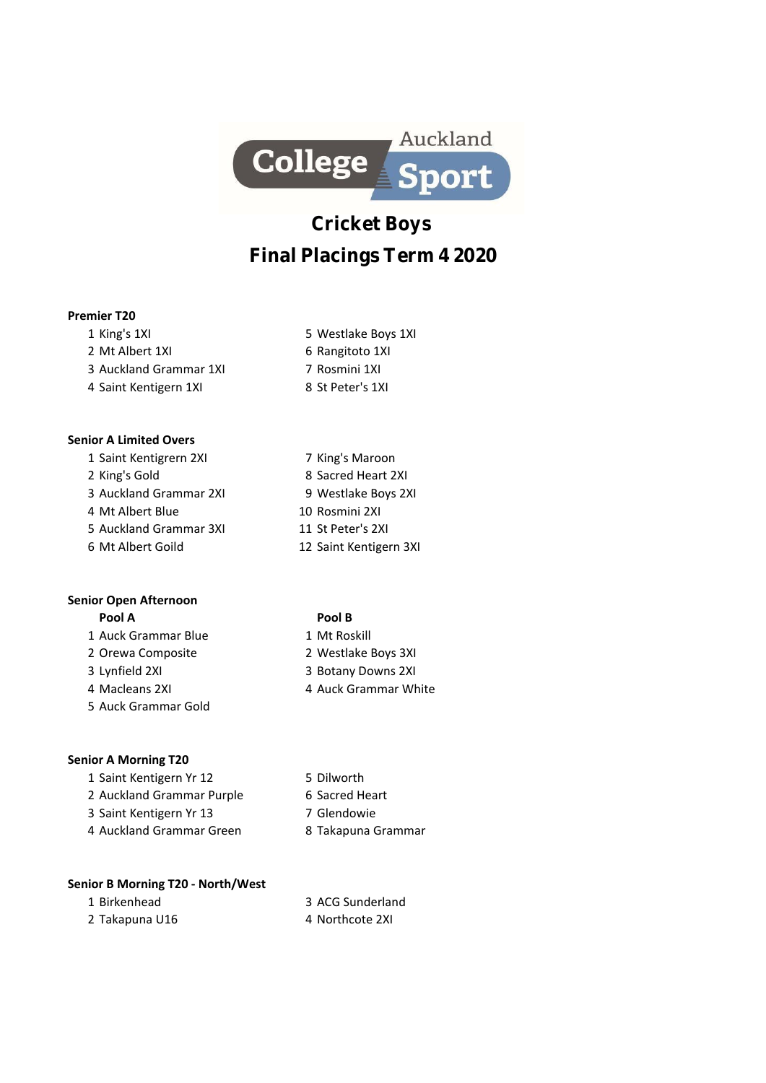

# **Cricket Boys Final Placings Term 4 2020**

## **Premier T20**

1 King's 1XI 5 Westlake Boys 1XI 2 Mt Albert 1XI 6 Rangitoto 1XI 3 Auckland Grammar 1XI 7 Rosmini 1XI 4 Saint Kentigern 1XI 8 St Peter's 1XI

# **Senior A Limited Overs**

1 Saint Kentigrern 2XI 7 King's Maroon 2 King's Gold 8 Sacred Heart 2XI 3 Auckland Grammar 2XI 9 Westlake Boys 2XI 4 Mt Albert Blue 10 Rosmini 2XI 5 Auckland Grammar 3XI 11 St Peter's 2XI 6 Mt Albert Goild 12 Saint Kentigern 3XI

# **Senior Open Afternoon**

- 1 Auck Grammar Blue 1 Mt Roskill
- 
- 
- 
- 5 Auck Grammar Gold

# **Senior A Morning T20**

- 1 Saint Kentigern Yr 12 5 Dilworth
- 2 Auckland Grammar Purple 6 Sacred Heart
- 3 Saint Kentigern Yr 13 7 Glendowie
- 4 Auckland Grammar Green 8 Takapuna Grammar

## **Senior B Morning T20 - North/West**

- 
- 2 Takapuna U16 4 Northcote 2XI
- 1 Birkenhead 3 ACG Sunderland
	-

# **Pool A Pool B**

- 
- 2 Orewa Composite 2 Westlake Boys 3XI
- 3 Lynfield 2XI 3 Botany Downs 2XI
- 4 Macleans 2XI 4 Auck Grammar White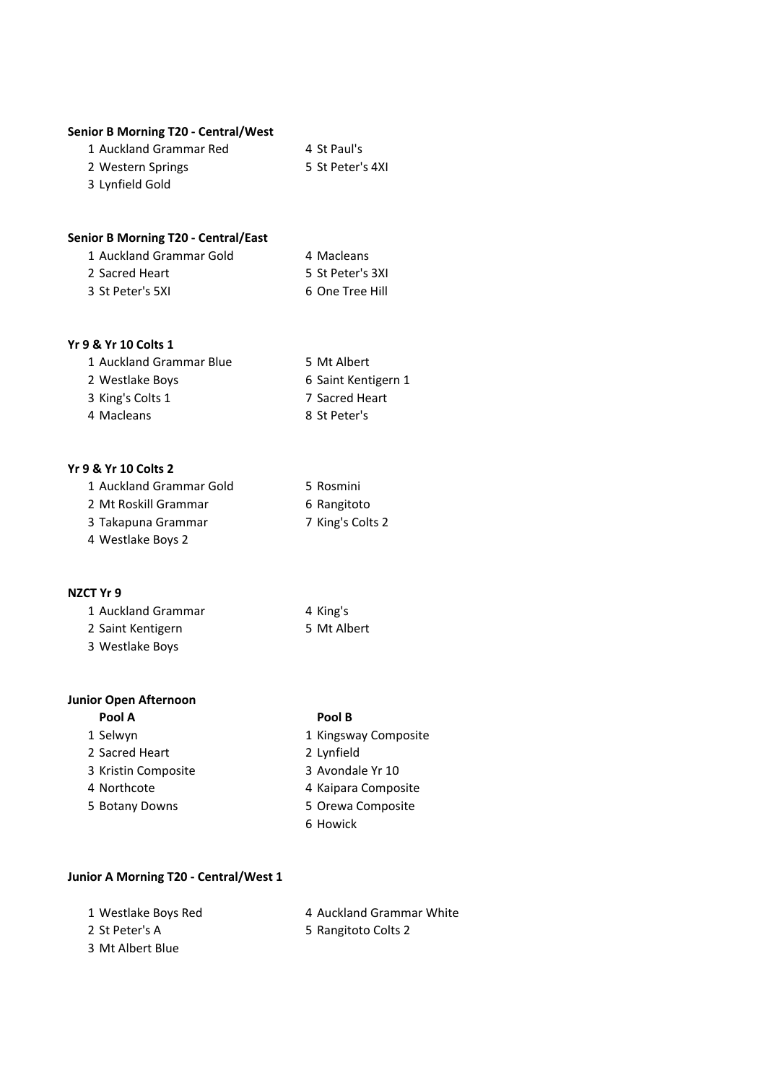#### **Senior B Morning T20 - Central/West**

| 1 Auckland Grammar Red | 4 St Paul's      |
|------------------------|------------------|
| 2 Western Springs      | 5 St Peter's 4XI |
| 3 Lynfield Gold        |                  |

# **Senior B Morning T20 - Central/East**

| 1 Auckland Grammar Gold | 4 Macleans       |
|-------------------------|------------------|
| 2 Sacred Heart          | 5 St Peter's 3XI |
| 3 St Peter's 5XI        | 6 One Tree Hill  |

## **Yr 9 & Yr 10 Colts 1**

| 1 Auckland Grammar Blue | 5 Mt Albert         |
|-------------------------|---------------------|
| 2 Westlake Boys         | 6 Saint Kentigern 1 |
| 3 King's Colts 1        | 7 Sacred Heart      |
| 4 Macleans              | 8 St Peter's        |

#### **Yr 9 & Yr 10 Colts 2**

| 1 Auckland Grammar Gold | 5 Rosmini        |
|-------------------------|------------------|
| 2 Mt Roskill Grammar    | 6 Rangitoto      |
| 3 Takapuna Grammar      | 7 King's Colts 2 |
| 4 Westlake Boys 2       |                  |

#### **NZCT Yr 9**

| 1 Auckland Grammar | 4 King's    |
|--------------------|-------------|
| 2 Saint Kentigern  | 5 Mt Albert |
| 3 Westlake Boys    |             |

# **Junior Open Afternoon**

| Pool A     |  |
|------------|--|
| $1$ Calumn |  |

- 
- 
- 
- 

#### **Pool A Pool B**

- 1 Selwyn 1 Kingsway Composite
- 2 Sacred Heart 2 Lynfield
- 3 Kristin Composite 3 Avondale Yr 10
- 4 Northcote **4 Kaipara Composite**
- 5 Botany Downs 5 Orewa Composite
	- 6 Howick

#### **Junior A Morning T20 - Central/West 1**

| 1 Westlake Boys Red |
|---------------------|
| 2 St Peter's A      |

- 4 Auckland Grammar White
- 
- 5 Rangitoto Colts 2
- 3 Mt Albert Blue